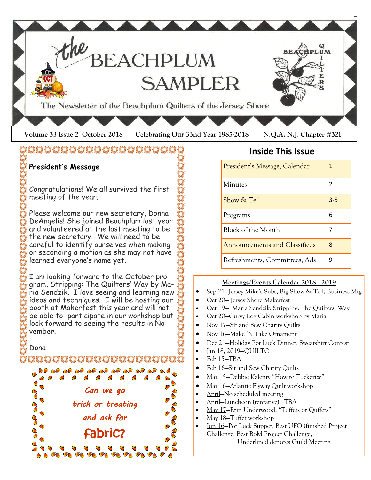

# **ÖÖÖÖÖÖÖÖÖÖÖÖÖÖÖÖ**ÖÖ

# **President's Message**

Congratulations! We all survived the first meeting of the year.

Please welcome our new secretary, Donna DeAngelis! She joined Beachplum last year and volunteered at the last meeting to be the new secretary. We will need to be careful to identify ourselves when making or seconding a motion as she may not have learned everyone's name yet.

I am looking forward to the October program, Stripping: The Quilters' Way by Maria Sendzik. I love seeing and learning new ideas and techniques. I will be hosting our booth at Makerfest this year and will not be able to participate in our workshop but look forward to seeing the results in November.

Dona

OZ ZOZ ZOZ ZOZ ZOZ ZO



## **Inside This Issue**

| President's Message, Calendar        | 1       |
|--------------------------------------|---------|
| Minutes                              | 2       |
| Show & Tell                          | $3 - 5$ |
| Programs                             | 6       |
| Block of the Month                   |         |
| <b>Announcements and Classifieds</b> | 8       |
| Refreshments, Committees, Ads        | 9       |

### **Meetings/Events Calendar 2018– 2019**

- Sep 21—Jersey Mike's Subs, Big Show & Tell, Business Mtg
- Oct 20— Jersey Shore Makerfest
- Oct 19— Maria Sendzik: Stripping: The Quilters' Way
- Oct 20–Curvy Log Cabin workshop by Maria
- Nov 17—Sit and Sew Charity Quilts
- Nov 16—Make 'N Take Ornament
- Dec 21—Holiday Pot Luck Dinner, Sweatshirt Contest
- Jan 18, 2019—QUILTO
- Feb 15—TBA
- Feb 16–Sit and Sew Charity Quilts
- Mar 15-Debbie Kalenty "How to Tuckerize"
- Mar 16–Atlantic Flyway Quilt workshop
- April—No scheduled meeting
- April—Luncheon (tentative), TBA
- May 17—Erin Underwood: "Tuffets or Quffets"
- May 18—Tuffet workshop
- Jun 16—Pot Luck Supper, Best UFO (finished Project Challenge, Best BoM Project Challenge, Underlined denotes Guild Meeting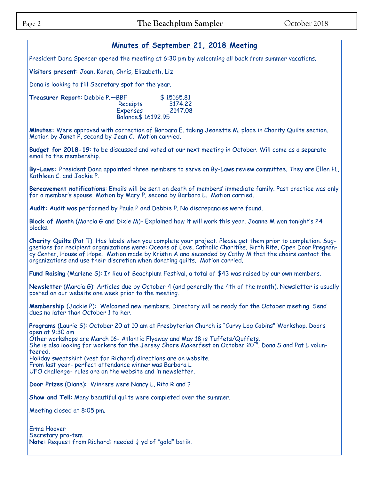### **Minutes of September 21, 2018 Meeting**

President Dona Spencer opened the meeting at 6:30 pm by welcoming all back from summer vacations.

**Visitors present**: Joan, Karen, Chris, Elizabeth, Liz

Dona is looking to fill Secretary spot for the year.

**Treasurer Report:** Debbie P.—BBF \$15165.81 Receipts 3174.22 **Expenses** Balance\$ 16192.95

**Minutes:** Were approved with correction of Barbara E. taking Jeanette M. place in Charity Quilts section. Motion by Janet P, second by Jean C. Motion carried.

**Budget for 2018-19**: to be discussed and voted at our next meeting in October. Will come as a separate email to the membership.

**By-Laws:** President Dona appointed three members to serve on By-Laws review committee. They are Ellen H., Kathleen C. and Jackie P.

**Bereavement notifications**: Emails will be sent on death of members' immediate family. Past practice was only for a member's spouse. Motion by Mary P, second by Barbara L. Motion carried.

**Audit:** Audit was performed by Paula P and Debbie P. No discrepancies were found.

**Block of Month** (Marcia G and Dixie M)- Explained how it will work this year. Joanne M won tonight's 24 blocks.

**Charity Quilts** (Pat T): Has labels when you complete your project. Please get them prior to completion. Suggestions for recipient organizations were: Oceans of Love, Catholic Charities, Birth Rite, Open Door Pregnancy Center, House of Hope. Motion made by Kristin A and seconded by Cathy M that the chairs contact the organizations and use their discretion when donating quilts. Motion carried.

**Fund Raising** (Marlene S): In lieu of Beachplum Festival, a total of \$43 was raised by our own members.

**Newsletter** (Marcia G): Articles due by October 4 (and generally the 4th of the month). Newsletter is usually posted on our website one week prior to the meeting.

**Membership** (Jackie P): Welcomed new members. Directory will be ready for the October meeting. Send dues no later than October 1 to her.

**Programs** (Laurie S): October 20 at 10 am at Presbyterian Church is "Curvy Log Cabins" Workshop. Doors open at 9:30 am

Other workshops are March 16- Atlantic Flyaway and May 18 is Tuffets/Quffets. She is also looking for workers for the Jersey Shore Makerfest on October 20<sup>th</sup>. Dona S and Pat L volunteered. Holiday sweatshirt (vest for Richard) directions are on website.

From last year- perfect attendance winner was Barbara L UFO challenge- rules are on the website and in newsletter.

**Door Prizes** (Diane): Winners were Nancy L, Rita R and ?

**Show and Tell**: Many beautiful quilts were completed over the summer.

Meeting closed at 8:05 pm.

Erma Hoover Secretary pro-tem **Note:** Request from Richard: needed ¾ yd of "gold" batik.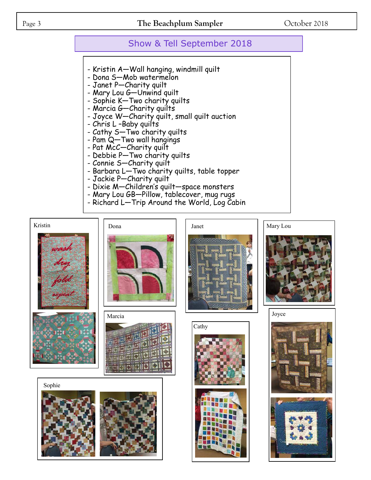### Page 3 **The Beachplum Sampler** October 2018

## Show & Tell September 2018

- Kristin A—Wall hanging, windmill quilt
- Dona S-Mob watermelon
- Janet P—Charity quilt
- Mary Lou G-Unwind quilt
- Sophie K—Two charity quilts
- Marcia G-Charity quilts
- Joyce W—Charity quilt, small quilt auction
- Chris L –Baby quilts
- Cathy S-Two charity quilts
- Pam Q-Two wall hangings
- Pat McC-Charity quilt
- Debbie P—Two charity quilts
- Connie S—Charity quilt
- Barbara L—Two charity quilts, table topper
- Jackie P—Charity quilt
- Dixie M—Children's quilt—space monsters
- Mary Lou GB—Pillow, tablecover, mug rugs
- Richard L—Trip Around the World, Log Cabin

Kristin John John Janet Janet Mary Lou



Marcia Joyce







Cathy







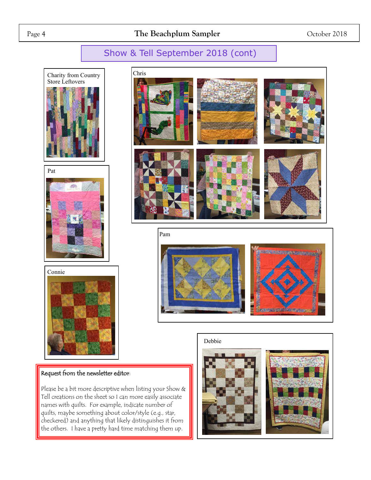# Show & Tell September 2018 (cont)









### Request from the newsletter editor:

Please be a bit more descriptive when listing your Show & Tell creations on the sheet so I can more easily associate names with quilts. For example, indicate number of quilts, maybe something about color/style (e.g., star, checkered) and anything that likely distinguishes it from the others. I have a pretty hard time matching them up.





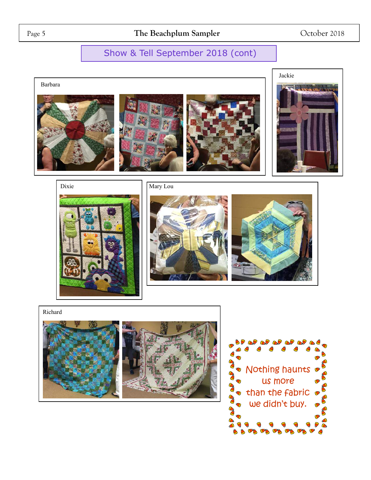# Show & Tell September 2018 (cont)

Barbara



















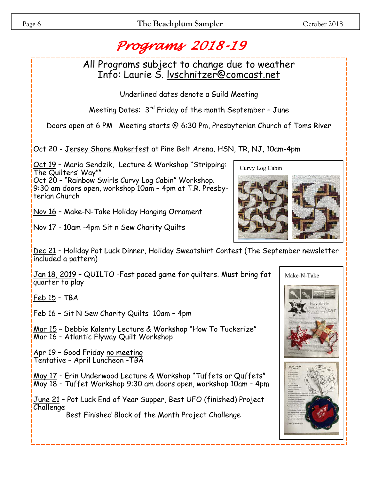# *Programs 2018-19*

All Programs subject to change due to weather Info: Laurie S. lvschnitzer@comcast.net

Underlined dates denote a Guild Meeting

Meeting Dates:  $3<sup>rd</sup>$  Friday of the month September - June

Doors open at 6 PM Meeting starts @ 6:30 Pm, Presbyterian Church of Toms River

Oct 20 - Jersey Shore Makerfest at Pine Belt Arena, HSN, TR, NJ, 10am-4pm

Oct 19 – Maria Sendzik, Lecture & Workshop "Stripping: The Quilters' Way""

Oct 20 – "Rainbow Swirls Curvy Log Cabin" Workshop. 9:30 am doors open, workshop 10am – 4pm at T.R. Presbyterian Church

Nov 16 – Make-N-Take Holiday Hanging Ornament

Nov 17 - 10am -4pm Sit n Sew Charity Quilts

Dec 21 - Holiday Pot Luck Dinner, Holiday Sweatshirt Contest (The September newsletter included a pattern)

Jan 18, 2019 – QUILTO -Fast paced game for quilters. Must bring fat quarter to play

Feb 15 – TBA

Feb 16 – Sit N Sew Charity Quilts 10am – 4pm

Mar 15 – Debbie Kalenty Lecture & Workshop "How To Tuckerize" Mar 16 – Atlantic Flyway Quilt Workshop

Apr 19 – Good Friday no meeting Tentative – April Luncheon -TBA

May 17 - Erin Underwood Lecture & Workshop "Tuffets or Quffets" May 18 – Tuffet Workshop 9:30 am doors open, workshop 10am – 4pm

June 21 – Pot Luck End of Year Supper, Best UFO (finished) Project Challenge

Best Finished Block of the Month Project Challenge







Make-N-Take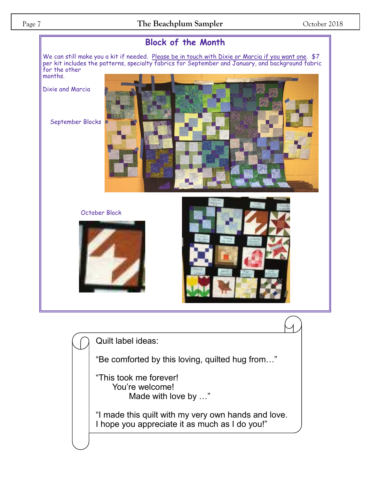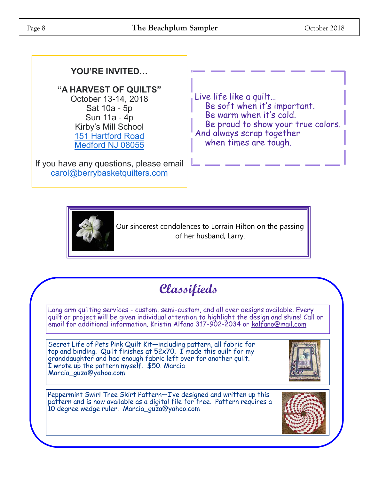## **YOU'RE INVITED…**

**"A HARVEST OF QUILTS"** October 13-14, 2018 Sat 10a - 5p Sun 11a - 4p Kirby's Mill School [151 Hartford Road](https://maps.google.com/?q=151+Hartford+Road+Medford+NJ+08055&entry=gmail&source=g)

[Medford NJ 08055](https://maps.google.com/?q=151+Hartford+Road+Medford+NJ+08055&entry=gmail&source=g)

If you have any questions, please email [carol@berrybasketquilters.com](mailto:carol@berrybasketquilters.com)

Live life like a quilt… Be soft when it's important. Be warm when it's cold. Be proud to show your true colors. And always scrap together when times are tough.



Our sincerest condolences to Lorrain Hilton on the passing of her husband, Larry.

# **Classifieds**

Long arm quilting services - custom, semi-custom, and all over designs available. Every quilt or project will be given individual attention to highlight the design and shine! Call or email for additional information. Kristin Alfano 317-902-2034 or [kalfano@mail.com](mailto:kalfano@mail.com)

Secret Life of Pets Pink Quilt Kit—including pattern, all fabric for top and binding. Quilt finishes at 52x70. I made this quilt for my granddaughter and had enough fabric left over for another quilt. I wrote up the pattern myself. \$50. Marcia Marcia\_guza@yahoo.com



Peppermint Swirl Tree Skirt Pattern—I've designed and written up this pattern and is now available as a digital file for free. Pattern requires a 10 degree wedge ruler. Marcia\_guza@yahoo.com